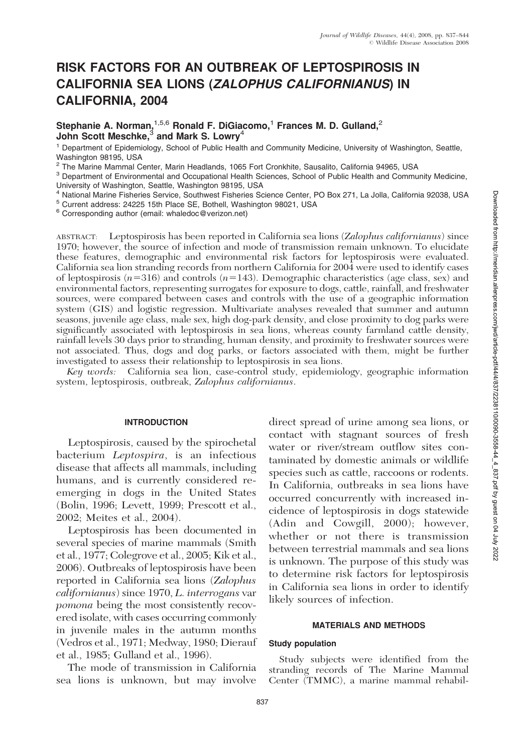# RISK FACTORS FOR AN OUTBREAK OF LEPTOSPIROSIS IN CALIFORNIA SEA LIONS (ZALOPHUS CALIFORNIANUS) IN CALIFORNIA, 2004

Stephanie A. Norman, $1,5,6$  Ronald F. DiGiacomo,<sup>1</sup> Frances M. D. Gulland,<sup>2</sup> John Scott Meschke, $^3$  and Mark S. Lowry $^4$ 

<sup>1</sup> Department of Epidemiology, School of Public Health and Community Medicine, University of Washington, Seattle, Washington 98195, USA<br><sup>2</sup> The Marine Mammal Center, Marin Headlands, 1065 Fort Cronkhite, Sausalito, California 94965, USA

 $3$  Department of Environmental and Occupational Health Sciences, School of Public Health and Community Medicine, University of Washington, Seattle, Washington 98195, USA

<sup>4</sup> National Marine Fisheries Service, Southwest Fisheries Science Center, PO Box 271, La Jolla, California 92038, USA<br><sup>5</sup> Current address: 24225 15th Place SE, Bothell, Washington 98021, USA

<sup>6</sup> Corresponding author (email: whaledoc@verizon.net)

ABSTRACT: Leptospirosis has been reported in California sea lions (Zalophus californianus) since 1970; however, the source of infection and mode of transmission remain unknown. To elucidate these features, demographic and environmental risk factors for leptospirosis were evaluated. California sea lion stranding records from northern California for 2004 were used to identify cases of leptospirosis ( $n=316$ ) and controls ( $n=143$ ). Demographic characteristics (age class, sex) and environmental factors, representing surrogates for exposure to dogs, cattle, rainfall, and freshwater sources, were compared between cases and controls with the use of a geographic information system (GIS) and logistic regression. Multivariate analyses revealed that summer and autumn seasons, juvenile age class, male sex, high dog-park density, and close proximity to dog parks were significantly associated with leptospirosis in sea lions, whereas county farmland cattle density, rainfall levels 30 days prior to stranding, human density, and proximity to freshwater sources were not associated. Thus, dogs and dog parks, or factors associated with them, might be further investigated to assess their relationship to leptospirosis in sea lions.

Key words: California sea lion, case-control study, epidemiology, geographic information system, leptospirosis, outbreak, Zalophus californianus.

## INTRODUCTION

Leptospirosis, caused by the spirochetal bacterium Leptospira, is an infectious disease that affects all mammals, including humans, and is currently considered reemerging in dogs in the United States (Bolin, 1996; Levett, 1999; Prescott et al., 2002; Meites et al., 2004).

Leptospirosis has been documented in several species of marine mammals (Smith et al., 1977; Colegrove et al., 2005; Kik et al., 2006). Outbreaks of leptospirosis have been reported in California sea lions (Zalophus californianus) since 1970, L. interrogans var pomona being the most consistently recovered isolate, with cases occurring commonly in juvenile males in the autumn months (Vedros et al., 1971; Medway, 1980; Dierauf et al., 1985; Gulland et al., 1996).

The mode of transmission in California sea lions is unknown, but may involve

direct spread of urine among sea lions, or contact with stagnant sources of fresh water or river/stream outflow sites contaminated by domestic animals or wildlife species such as cattle, raccoons or rodents. In California, outbreaks in sea lions have occurred concurrently with increased incidence of leptospirosis in dogs statewide (Adin and Cowgill, 2000); however, whether or not there is transmission between terrestrial mammals and sea lions is unknown. The purpose of this study was to determine risk factors for leptospirosis in California sea lions in order to identify likely sources of infection.

## MATERIALS AND METHODS

## Study population

Study subjects were identified from the stranding records of The Marine Mammal Center (TMMC), a marine mammal rehabil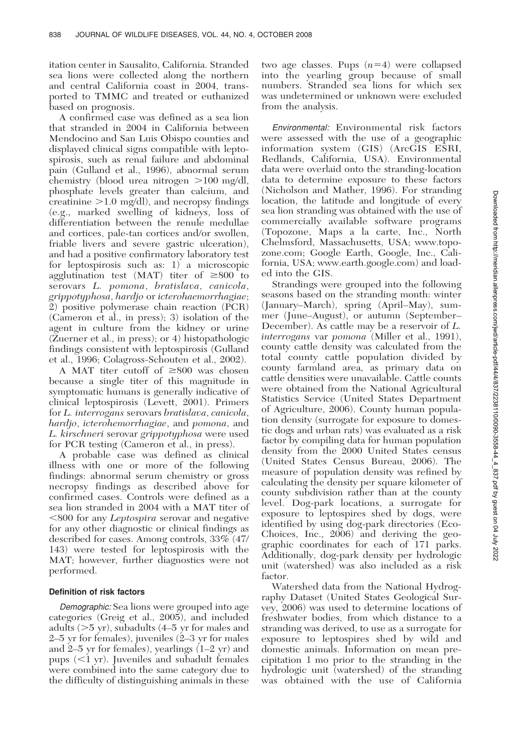itation center in Sausalito, California. Stranded sea lions were collected along the northern and central California coast in 2004, transported to TMMC and treated or euthanized based on prognosis.

A confirmed case was defined as a sea lion that stranded in 2004 in California between Mendocino and San Luis Obispo counties and displayed clinical signs compatible with leptospirosis, such as renal failure and abdominal pain (Gulland et al., 1996), abnormal serum chemistry (blood urea nitrogen  $>100$  mg/dl, phosphate levels greater than calcium, and creatinine  $>1.0$  mg/dl), and necropsy findings (e.g., marked swelling of kidneys, loss of differentiation between the renule medullae and cortices, pale-tan cortices and/or swollen, friable livers and severe gastric ulceration), and had a positive confirmatory laboratory test for leptospirosis such as: 1) a microscopic agglutination test (MAT) titer of  $\geq 800$  to serovars L. pomona, bratislava, canicola, grippotyphosa, hardjo or icterohaemorrhagiae; 2) positive polymerase chain reaction (PCR) (Cameron et al., in press); 3) isolation of the agent in culture from the kidney or urine (Zuerner et al., in press); or 4) histopathologic findings consistent with leptospirosis (Gulland et al., 1996; Colagross-Schouten et al., 2002).

A MAT titer cutoff of  $\geq 800$  was chosen because a single titer of this magnitude in symptomatic humans is generally indicative of clinical leptospirosis (Levett, 2001). Primers for L. interrogans serovars bratislava, canicola, hardjo, icterohemorrhagiae, and pomona, and L. kirschneri serovar grippotyphosa were used for PCR testing (Cameron et al., in press).

A probable case was defined as clinical illness with one or more of the following findings: abnormal serum chemistry or gross necropsy findings as described above for confirmed cases. Controls were defined as a sea lion stranded in 2004 with a MAT titer of ,800 for any Leptospira serovar and negative for any other diagnostic or clinical findings as described for cases. Among controls, 33% (47/ 143) were tested for leptospirosis with the MAT; however, further diagnostics were not performed.

#### Definition of risk factors

Demographic: Sea lions were grouped into age categories (Greig et al., 2005), and included adults  $(>=5 \, \text{yr})$ , subadults  $(4–5 \, \text{yr})$  for males and 2–5 yr for females), juveniles (2–3 yr for males and 2–5 yr for females), yearlings (1–2 yr) and pups  $(<1$  yr). Juveniles and subadult females were combined into the same category due to the difficulty of distinguishing animals in these

two age classes. Pups  $(n=4)$  were collapsed into the yearling group because of small numbers. Stranded sea lions for which sex was undetermined or unknown were excluded from the analysis.

Environmental: Environmental risk factors were assessed with the use of a geographic information system (GIS) (ArcGIS ESRI, Redlands, California, USA). Environmental data were overlaid onto the stranding-location data to determine exposure to these factors (Nicholson and Mather, 1996). For stranding location, the latitude and longitude of every sea lion stranding was obtained with the use of commercially available software programs (Topozone, Maps a la carte, Inc., North Chelmsford, Massachusetts, USA; www.topozone.com; Google Earth, Google, Inc., California, USA; www.earth.google.com) and loaded into the GIS.

Strandings were grouped into the following seasons based on the stranding month: winter (January–March), spring (April–May), summer (June–August), or autumn (September– December). As cattle may be a reservoir of L. interrogans var pomona (Miller et al., 1991), county cattle density was calculated from the total county cattle population divided by county farmland area, as primary data on cattle densities were unavailable. Cattle counts were obtained from the National Agricultural Statistics Service (United States Department of Agriculture, 2006). County human population density (surrogate for exposure to domestic dogs and urban rats) was evaluated as a risk factor by compiling data for human population density from the 2000 United States census (United States Census Bureau, 2006). The measure of population density was refined by calculating the density per square kilometer of county subdivision rather than at the county level. Dog-park locations, a surrogate for exposure to leptospires shed by dogs, were identified by using dog-park directories (Eco-Choices, Inc., 2006) and deriving the geographic coordinates for each of 171 parks. Additionally, dog-park density per hydrologic unit (watershed) was also included as a risk factor.

Watershed data from the National Hydrography Dataset (United States Geological Survey, 2006) was used to determine locations of freshwater bodies, from which distance to a stranding was derived, to use as a surrogate for exposure to leptospires shed by wild and domestic animals. Information on mean precipitation 1 mo prior to the stranding in the hydrologic unit (watershed) of the stranding was obtained with the use of California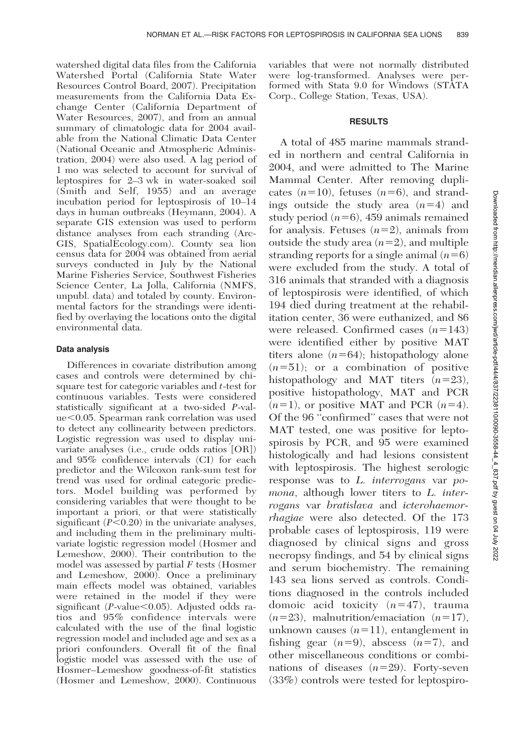watershed digital data files from the California Watershed Portal (California State Water Resources Control Board, 2007). Precipitation measurements from the California Data Exchange Center (California Department of Water Resources, 2007), and from an annual summary of climatologic data for 2004 available from the National Climatic Data Center (National Oceanic and Atmospheric Administration, 2004) were also used. A lag period of 1 mo was selected to account for survival of leptospires for 2–3 wk in water-soaked soil (Smith and Self, 1955) and an average incubation period for leptospirosis of 10–14 days in human outbreaks (Heymann, 2004). A separate GIS extension was used to perform distance analyses from each stranding (Arc-GIS, SpatialEcology.com). County sea lion census data for 2004 was obtained from aerial surveys conducted in July by the National Marine Fisheries Service, Southwest Fisheries Science Center, La Jolla, California (NMFS, unpubl. data) and totaled by county. Environmental factors for the strandings were identified by overlaying the locations onto the digital environmental data.

## Data analysis

Differences in covariate distribution among cases and controls were determined by chisquare test for categoric variables and  $t$ -test for continuous variables. Tests were considered statistically significant at a two-sided P-val $ue<0.05$ . Spearman rank correlation was used to detect any collinearity between predictors. Logistic regression was used to display univariate analyses (i.e., crude odds ratios [OR]) and 95% confidence intervals (CI) for each predictor and the Wilcoxon rank-sum test for trend was used for ordinal categoric predictors. Model building was performed by considering variables that were thought to be important a priori, or that were statistically significant  $(P< 0.20)$  in the univariate analyses, and including them in the preliminary multivariate logistic regression model (Hosmer and Lemeshow, 2000). Their contribution to the model was assessed by partial  $F$  tests (Hosmer and Lemeshow, 2000). Once a preliminary main effects model was obtained, variables were retained in the model if they were significant ( $P$ -value $\leq$ 0.05). Adjusted odds ratios and 95% confidence intervals were calculated with the use of the final logistic regression model and included age and sex as a priori confounders. Overall fit of the final logistic model was assessed with the use of Hosmer–Lemeshow goodness-of-fit statistics (Hosmer and Lemeshow, 2000). Continuous

variables that were not normally distributed were log-transformed. Analyses were performed with Stata 9.0 for Windows (STATA Corp., College Station, Texas, USA).

#### RESULTS

A total of 485 marine mammals stranded in northern and central California in 2004, and were admitted to The Marine Mammal Center. After removing duplicates  $(n=10)$ , fetuses  $(n=6)$ , and strandings outside the study area  $(n=4)$  and study period  $(n=6)$ , 459 animals remained for analysis. Fetuses  $(n=2)$ , animals from outside the study area  $(n=2)$ , and multiple stranding reports for a single animal  $(n=6)$ were excluded from the study. A total of 316 animals that stranded with a diagnosis of leptospirosis were identified, of which 194 died during treatment at the rehabilitation center, 36 were euthanized, and 86 were released. Confirmed cases  $(n=143)$ were identified either by positive MAT titers alone  $(n=64)$ ; histopathology alone  $(n=51)$ ; or a combination of positive histopathology and MAT titers  $(n=23)$ , positive histopathology, MAT and PCR  $(n=1)$ , or positive MAT and PCR  $(n=4)$ . Of the 96 ''confirmed'' cases that were not MAT tested, one was positive for leptospirosis by PCR, and 95 were examined histologically and had lesions consistent with leptospirosis. The highest serologic response was to L. interrogans var pomona, although lower titers to L. interrogans var bratislava and icterohaemorrhagiae were also detected. Of the 173 probable cases of leptospirosis, 119 were diagnosed by clinical signs and gross necropsy findings, and 54 by clinical signs and serum biochemistry. The remaining 143 sea lions served as controls. Conditions diagnosed in the controls included domoic acid toxicity  $(n=47)$ , trauma  $(n=23)$ , malnutrition/emaciation  $(n=17)$ , unknown causes  $(n=11)$ , entanglement in fishing gear  $(n=9)$ , abscess  $(n=7)$ , and other miscellaneous conditions or combinations of diseases  $(n=29)$ . Forty-seven (33%) controls were tested for leptospiro-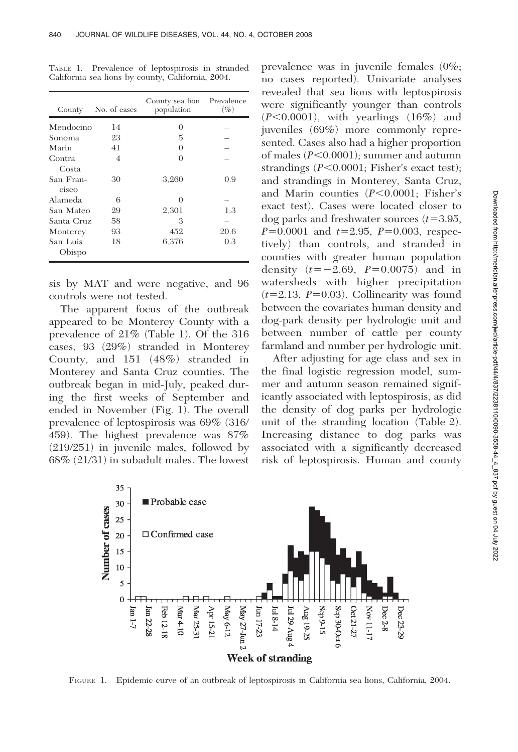| County             | No. of cases | County sea lion<br>population | Prevalence<br>$(\%)$ |
|--------------------|--------------|-------------------------------|----------------------|
| Mendocino          | 14           | $\Omega$                      |                      |
| Sonoma             | 23           | 5                             |                      |
| Marin              | 41           | $\Omega$                      |                      |
| Contra<br>Costa    | 4            | $\Omega$                      |                      |
| San Fran-<br>cisco | 30           | 3,260                         | 0.9                  |
| Alameda            | 6            | $\Omega$                      |                      |
| San Mateo          | 29           | 2,301                         | 1.3                  |
| Santa Cruz         | 58           | З                             |                      |
| Monterey           | 93           | 452                           | 20.6                 |
| San Luis<br>Obispo | 18           | 6,376                         | 0.3                  |

TABLE 1. Prevalence of leptospirosis in stranded California sea lions by county, California, 2004.

sis by MAT and were negative, and 96 controls were not tested.

The apparent focus of the outbreak appeared to be Monterey County with a prevalence of 21% (Table 1). Of the 316 cases, 93 (29%) stranded in Monterey County, and 151 (48%) stranded in Monterey and Santa Cruz counties. The outbreak began in mid-July, peaked during the first weeks of September and ended in November (Fig. 1). The overall prevalence of leptospirosis was 69% (316/ 459). The highest prevalence was 87% (219/251) in juvenile males, followed by 68% (21/31) in subadult males. The lowest prevalence was in juvenile females (0%; no cases reported). Univariate analyses revealed that sea lions with leptospirosis were significantly younger than controls  $(P<0.0001)$ , with yearlings  $(16%)$  and juveniles (69%) more commonly represented. Cases also had a higher proportion of males  $(P<0.0001)$ ; summer and autumn strandings  $(P<0.0001;$  Fisher's exact test); and strandings in Monterey, Santa Cruz, and Marin counties  $(P<0.0001;$  Fisher's exact test). Cases were located closer to dog parks and freshwater sources  $(t=3.95,$  $P=0.0001$  and  $t=2.95$ ,  $P=0.003$ , respectively) than controls, and stranded in counties with greater human population density  $(t=-2.69, P=0.0075)$  and in watersheds with higher precipitation  $(t=2.13, P=0.03)$ . Collinearity was found between the covariates human density and dog-park density per hydrologic unit and between number of cattle per county farmland and number per hydrologic unit.

After adjusting for age class and sex in the final logistic regression model, summer and autumn season remained significantly associated with leptospirosis, as did the density of dog parks per hydrologic unit of the stranding location (Table 2). Increasing distance to dog parks was associated with a significantly decreased risk of leptospirosis. Human and county



FIGURE 1. Epidemic curve of an outbreak of leptospirosis in California sea lions, California, 2004.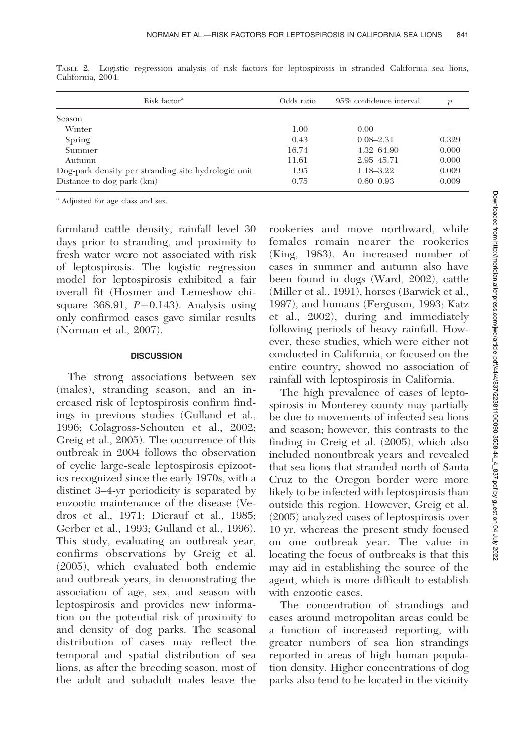| Risk factor <sup>a</sup>                            | Odds ratio | $95\%$ confidence interval | р     |
|-----------------------------------------------------|------------|----------------------------|-------|
| Season                                              |            |                            |       |
| Winter                                              | 1.00       | 0.00                       |       |
| Spring                                              | 0.43       | $0.08 - 2.31$              | 0.329 |
| Summer                                              | 16.74      | $4.32 - 64.90$             | 0.000 |
| Autumn                                              | 11.61      | 2.95 - 45.71               | 0.000 |
| Dog-park density per stranding site hydrologic unit | 1.95       | 1.18-3.22                  | 0.009 |
| Distance to dog park (km)                           | 0.75       | $0.60 - 0.93$              | 0.009 |

TABLE 2. Logistic regression analysis of risk factors for leptospirosis in stranded California sea lions, California, 2004.

<sup>a</sup> Adjusted for age class and sex.

farmland cattle density, rainfall level 30 days prior to stranding, and proximity to fresh water were not associated with risk of leptospirosis. The logistic regression model for leptospirosis exhibited a fair overall fit (Hosmer and Lemeshow chisquare 368.91,  $P=0.143$ ). Analysis using only confirmed cases gave similar results (Norman et al., 2007).

## **DISCUSSION**

The strong associations between sex (males), stranding season, and an increased risk of leptospirosis confirm findings in previous studies (Gulland et al., 1996; Colagross-Schouten et al., 2002; Greig et al., 2005). The occurrence of this outbreak in 2004 follows the observation of cyclic large-scale leptospirosis epizootics recognized since the early 1970s, with a distinct 3–4-yr periodicity is separated by enzootic maintenance of the disease (Vedros et al., 1971; Dierauf et al., 1985; Gerber et al., 1993; Gulland et al., 1996). This study, evaluating an outbreak year, confirms observations by Greig et al. (2005), which evaluated both endemic and outbreak years, in demonstrating the association of age, sex, and season with leptospirosis and provides new information on the potential risk of proximity to and density of dog parks. The seasonal distribution of cases may reflect the temporal and spatial distribution of sea lions, as after the breeding season, most of the adult and subadult males leave the

rookeries and move northward, while females remain nearer the rookeries (King, 1983). An increased number of cases in summer and autumn also have been found in dogs (Ward, 2002), cattle (Miller et al., 1991), horses (Barwick et al., 1997), and humans (Ferguson, 1993; Katz et al., 2002), during and immediately following periods of heavy rainfall. However, these studies, which were either not conducted in California, or focused on the entire country, showed no association of rainfall with leptospirosis in California.

The high prevalence of cases of leptospirosis in Monterey county may partially be due to movements of infected sea lions and season; however, this contrasts to the finding in Greig et al. (2005), which also included nonoutbreak years and revealed that sea lions that stranded north of Santa Cruz to the Oregon border were more likely to be infected with leptospirosis than outside this region. However, Greig et al. (2005) analyzed cases of leptospirosis over 10 yr, whereas the present study focused on one outbreak year. The value in locating the focus of outbreaks is that this may aid in establishing the source of the agent, which is more difficult to establish with enzootic cases.

The concentration of strandings and cases around metropolitan areas could be a function of increased reporting, with greater numbers of sea lion strandings reported in areas of high human population density. Higher concentrations of dog parks also tend to be located in the vicinity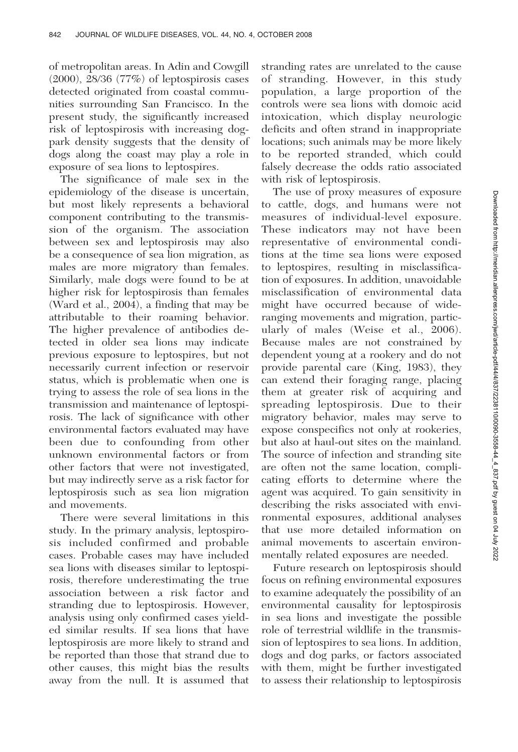of metropolitan areas. In Adin and Cowgill (2000), 28/36 (77%) of leptospirosis cases detected originated from coastal communities surrounding San Francisco. In the present study, the significantly increased risk of leptospirosis with increasing dogpark density suggests that the density of dogs along the coast may play a role in exposure of sea lions to leptospires.

The significance of male sex in the epidemiology of the disease is uncertain, but most likely represents a behavioral component contributing to the transmission of the organism. The association between sex and leptospirosis may also be a consequence of sea lion migration, as males are more migratory than females. Similarly, male dogs were found to be at higher risk for leptospirosis than females (Ward et al., 2004), a finding that may be attributable to their roaming behavior. The higher prevalence of antibodies detected in older sea lions may indicate previous exposure to leptospires, but not necessarily current infection or reservoir status, which is problematic when one is trying to assess the role of sea lions in the transmission and maintenance of leptospirosis. The lack of significance with other environmental factors evaluated may have been due to confounding from other unknown environmental factors or from other factors that were not investigated, but may indirectly serve as a risk factor for leptospirosis such as sea lion migration and movements.

There were several limitations in this study. In the primary analysis, leptospirosis included confirmed and probable cases. Probable cases may have included sea lions with diseases similar to leptospirosis, therefore underestimating the true association between a risk factor and stranding due to leptospirosis. However, analysis using only confirmed cases yielded similar results. If sea lions that have leptospirosis are more likely to strand and be reported than those that strand due to other causes, this might bias the results away from the null. It is assumed that stranding rates are unrelated to the cause of stranding. However, in this study population, a large proportion of the controls were sea lions with domoic acid intoxication, which display neurologic deficits and often strand in inappropriate locations; such animals may be more likely to be reported stranded, which could falsely decrease the odds ratio associated with risk of leptospirosis.

The use of proxy measures of exposure to cattle, dogs, and humans were not measures of individual-level exposure. These indicators may not have been representative of environmental conditions at the time sea lions were exposed to leptospires, resulting in misclassification of exposures. In addition, unavoidable misclassification of environmental data might have occurred because of wideranging movements and migration, particularly of males (Weise et al., 2006). Because males are not constrained by dependent young at a rookery and do not provide parental care (King, 1983), they can extend their foraging range, placing them at greater risk of acquiring and spreading leptospirosis. Due to their migratory behavior, males may serve to expose conspecifics not only at rookeries, but also at haul-out sites on the mainland. The source of infection and stranding site are often not the same location, complicating efforts to determine where the agent was acquired. To gain sensitivity in describing the risks associated with environmental exposures, additional analyses that use more detailed information on animal movements to ascertain environmentally related exposures are needed.

Future research on leptospirosis should focus on refining environmental exposures to examine adequately the possibility of an environmental causality for leptospirosis in sea lions and investigate the possible role of terrestrial wildlife in the transmission of leptospires to sea lions. In addition, dogs and dog parks, or factors associated with them, might be further investigated to assess their relationship to leptospirosis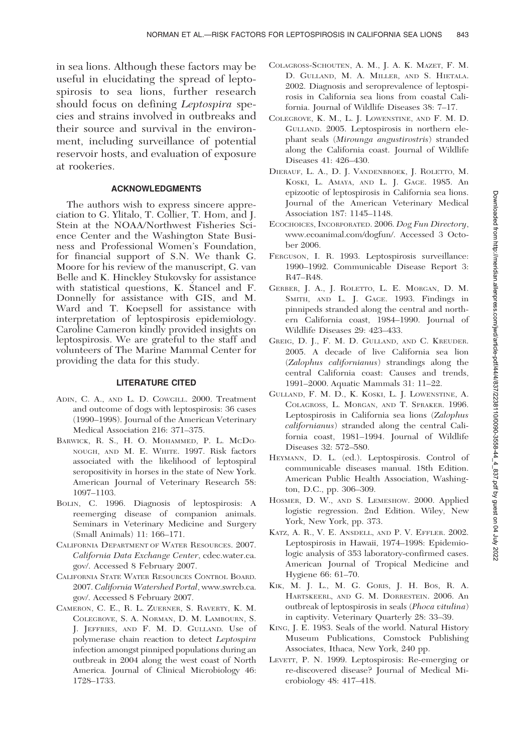in sea lions. Although these factors may be useful in elucidating the spread of leptospirosis to sea lions, further research should focus on defining Leptospira species and strains involved in outbreaks and their source and survival in the environment, including surveillance of potential reservoir hosts, and evaluation of exposure at rookeries.

## ACKNOWLEDGMENTS

The authors wish to express sincere appreciation to G. Ylitalo, T. Collier, T. Hom, and J. Stein at the NOAA/Northwest Fisheries Science Center and the Washington State Business and Professional Women's Foundation, for financial support of S.N. We thank G. Moore for his review of the manuscript, G. van Belle and K. Hinckley Stukovsky for assistance with statistical questions, K. Stancel and F. Donnelly for assistance with GIS, and M. Ward and T. Koepsell for assistance with interpretation of leptospirosis epidemiology. Caroline Cameron kindly provided insights on leptospirosis. We are grateful to the staff and volunteers of The Marine Mammal Center for providing the data for this study.

#### LITERATURE CITED

- ADIN, C. A., AND L. D. COWGILL. 2000. Treatment and outcome of dogs with leptospirosis: 36 cases (1990–1998). Journal of the American Veterinary Medical Association 216: 371–375.
- BARWICK, R. S., H. O. MOHAMMED, P. L. MCDO-NOUGH, AND M. E. WHITE. 1997. Risk factors associated with the likelihood of leptospiral seropositivity in horses in the state of New York. American Journal of Veterinary Research 58: 1097–1103.
- BOLIN, C. 1996. Diagnosis of leptospirosis: A reemerging disease of companion animals. Seminars in Veterinary Medicine and Surgery (Small Animals) 11: 166–171.
- CALIFORNIA DEPARTMENT OF WATER RESOURCES. 2007. California Data Exchange Center, cdec.water.ca. gov/. Accessed 8 February 2007.
- CALIFORNIA STATE WATER RESOURCES CONTROL BOARD. 2007. California Watershed Portal, www.swrcb.ca. gov/. Accessed 8 February 2007.
- CAMERON, C. E., R. L. ZUERNER, S. RAVERTY, K. M. COLEGROVE, S. A. NORMAN, D. M. LAMBOURN, S. J. JEFFRIES, AND F. M. D. GULLAND. Use of polymerase chain reaction to detect Leptospira infection amongst pinniped populations during an outbreak in 2004 along the west coast of North America. Journal of Clinical Microbiology 46: 1728–1733.
- COLAGROSS-SCHOUTEN, A. M., J. A. K. MAZET, F. M. D. GULLAND, M. A. MILLER, AND S. HIETALA. 2002. Diagnosis and seroprevalence of leptospirosis in California sea lions from coastal California. Journal of Wildlife Diseases 38: 7–17.
- COLEGROVE, K. M., L. J. LOWENSTINE, AND F. M. D. GULLAND. 2005. Leptospirosis in northern elephant seals (Mirounga angustirostris) stranded along the California coast. Journal of Wildlife Diseases 41: 426–430.
- DIERAUF, L. A., D. J. VANDENBROEK, J. ROLETTO, M. KOSKI, L. AMAYA, AND L. J. GAGE. 1985. An epizootic of leptospirosis in California sea lions. Journal of the American Veterinary Medical Association 187: 1145–1148.
- ECOCHOICES, INCORPORATED. 2006. Dog Fun Directory, www.ecoanimal.com/dogfun/. Accessed 3 October 2006.
- FERGUSON, I. R. 1993. Leptospirosis surveillance: 1990–1992. Communicable Disease Report 3: R47–R48.
- GERBER, J. A., J. ROLETTO, L. E. MORGAN, D. M. SMITH, AND L. J. GAGE. 1993. Findings in pinnipeds stranded along the central and northern California coast, 1984–1990. Journal of Wildlife Diseases 29: 423–433.
- GREIG, D. J., F. M. D. GULLAND, AND C. KREUDER. 2005. A decade of live California sea lion (Zalophus californianus) strandings along the central California coast: Causes and trends, 1991–2000. Aquatic Mammals 31: 11–22.
- GULLAND, F. M. D., K. KOSKI, L. J. LOWENSTINE, A. COLAGROSS, L. MORGAN, AND T. SPRAKER. 1996. Leptospirosis in California sea lions (Zalophus californianus) stranded along the central California coast, 1981–1994. Journal of Wildlife Diseases 32: 572–580.
- HEYMANN, D. L. (ed.). Leptospirosis. Control of communicable diseases manual. 18th Edition. American Public Health Association, Washington, D.C., pp. 306–309.
- HOSMER, D. W., AND S. LEMESHOW. 2000. Applied logistic regression. 2nd Edition. Wiley, New York, New York, pp. 373.
- KATZ, A. R., V. E. ANSDELL, AND P. V. EFFLER. 2002. Leptospirosis in Hawaii, 1974–1998: Epidemiologic analysis of 353 laboratory-confirmed cases. American Journal of Tropical Medicine and Hygiene 66: 61–70.
- KIK, M. J. L., M. G. GORIS, J. H. BOS, R. A. HARTSKEERL, AND G. M. DORRESTEIN. 2006. An outbreak of leptospirosis in seals (Phoca vitulina) in captivity. Veterinary Quarterly 28: 33–39.
- KING, J. E. 1983. Seals of the world. Natural History Museum Publications, Comstock Publishing Associates, Ithaca, New York, 240 pp.
- LEVETT, P. N. 1999. Leptospirosis: Re-emerging or re-discovered disease? Journal of Medical Microbiology 48: 417–418.